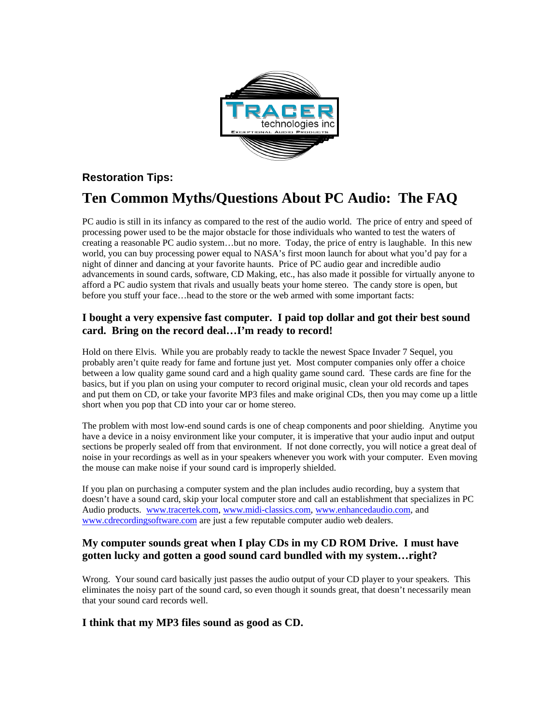

# **Restoration Tips:**

# **Ten Common Myths/Questions About PC Audio: The FAQ**

PC audio is still in its infancy as compared to the rest of the audio world. The price of entry and speed of processing power used to be the major obstacle for those individuals who wanted to test the waters of creating a reasonable PC audio system…but no more. Today, the price of entry is laughable. In this new world, you can buy processing power equal to NASA's first moon launch for about what you'd pay for a night of dinner and dancing at your favorite haunts. Price of PC audio gear and incredible audio advancements in sound cards, software, CD Making, etc., has also made it possible for virtually anyone to afford a PC audio system that rivals and usually beats your home stereo. The candy store is open, but before you stuff your face…head to the store or the web armed with some important facts:

#### **I bought a very expensive fast computer. I paid top dollar and got their best sound card. Bring on the record deal…I'm ready to record!**

Hold on there Elvis. While you are probably ready to tackle the newest Space Invader 7 Sequel, you probably aren't quite ready for fame and fortune just yet. Most computer companies only offer a choice between a low quality game sound card and a high quality game sound card. These cards are fine for the basics, but if you plan on using your computer to record original music, clean your old records and tapes and put them on CD, or take your favorite MP3 files and make original CDs, then you may come up a little short when you pop that CD into your car or home stereo.

The problem with most low-end sound cards is one of cheap components and poor shielding. Anytime you have a device in a noisy environment like your computer, it is imperative that your audio input and output sections be properly sealed off from that environment. If not done correctly, you will notice a great deal of noise in your recordings as well as in your speakers whenever you work with your computer. Even moving the mouse can make noise if your sound card is improperly shielded.

If you plan on purchasing a computer system and the plan includes audio recording, buy a system that doesn't have a sound card, skip your local computer store and call an establishment that specializes in PC Audio products. www.tracertek.com, www.midi-classics.com, www.enhancedaudio.com, and www.cdrecordingsoftware.com are just a few reputable computer audio web dealers.

## **My computer sounds great when I play CDs in my CD ROM Drive. I must have gotten lucky and gotten a good sound card bundled with my system…right?**

Wrong. Your sound card basically just passes the audio output of your CD player to your speakers. This eliminates the noisy part of the sound card, so even though it sounds great, that doesn't necessarily mean that your sound card records well.

## **I think that my MP3 files sound as good as CD.**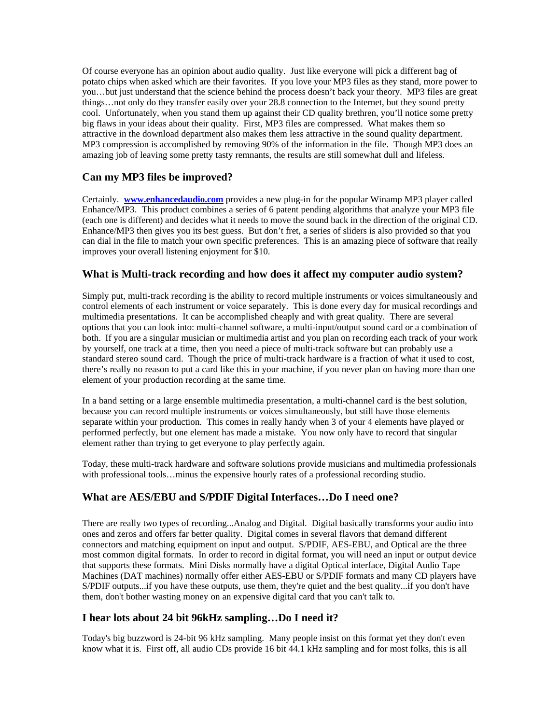Of course everyone has an opinion about audio quality. Just like everyone will pick a different bag of potato chips when asked which are their favorites. If you love your MP3 files as they stand, more power to you…but just understand that the science behind the process doesn't back your theory. MP3 files are great things…not only do they transfer easily over your 28.8 connection to the Internet, but they sound pretty cool. Unfortunately, when you stand them up against their CD quality brethren, you'll notice some pretty big flaws in your ideas about their quality. First, MP3 files are compressed. What makes them so attractive in the download department also makes them less attractive in the sound quality department. MP3 compression is accomplished by removing 90% of the information in the file. Though MP3 does an amazing job of leaving some pretty tasty remnants, the results are still somewhat dull and lifeless.

#### **Can my MP3 files be improved?**

Certainly. **www.enhancedaudio.com** provides a new plug-in for the popular Winamp MP3 player called Enhance/MP3. This product combines a series of 6 patent pending algorithms that analyze your MP3 file (each one is different) and decides what it needs to move the sound back in the direction of the original CD. Enhance/MP3 then gives you its best guess. But don't fret, a series of sliders is also provided so that you can dial in the file to match your own specific preferences. This is an amazing piece of software that really improves your overall listening enjoyment for \$10.

#### **What is Multi-track recording and how does it affect my computer audio system?**

Simply put, multi-track recording is the ability to record multiple instruments or voices simultaneously and control elements of each instrument or voice separately. This is done every day for musical recordings and multimedia presentations. It can be accomplished cheaply and with great quality. There are several options that you can look into: multi-channel software, a multi-input/output sound card or a combination of both. If you are a singular musician or multimedia artist and you plan on recording each track of your work by yourself, one track at a time, then you need a piece of multi-track software but can probably use a standard stereo sound card. Though the price of multi-track hardware is a fraction of what it used to cost, there's really no reason to put a card like this in your machine, if you never plan on having more than one element of your production recording at the same time.

In a band setting or a large ensemble multimedia presentation, a multi-channel card is the best solution, because you can record multiple instruments or voices simultaneously, but still have those elements separate within your production. This comes in really handy when 3 of your 4 elements have played or performed perfectly, but one element has made a mistake. You now only have to record that singular element rather than trying to get everyone to play perfectly again.

Today, these multi-track hardware and software solutions provide musicians and multimedia professionals with professional tools...minus the expensive hourly rates of a professional recording studio.

#### **What are AES/EBU and S/PDIF Digital Interfaces…Do I need one?**

There are really two types of recording...Analog and Digital. Digital basically transforms your audio into ones and zeros and offers far better quality. Digital comes in several flavors that demand different connectors and matching equipment on input and output. S/PDIF, AES-EBU, and Optical are the three most common digital formats. In order to record in digital format, you will need an input or output device that supports these formats. Mini Disks normally have a digital Optical interface, Digital Audio Tape Machines (DAT machines) normally offer either AES-EBU or S/PDIF formats and many CD players have S/PDIF outputs...if you have these outputs, use them, they're quiet and the best quality...if you don't have them, don't bother wasting money on an expensive digital card that you can't talk to.

#### **I hear lots about 24 bit 96kHz sampling…Do I need it?**

Today's big buzzword is 24-bit 96 kHz sampling. Many people insist on this format yet they don't even know what it is. First off, all audio CDs provide 16 bit 44.1 kHz sampling and for most folks, this is all